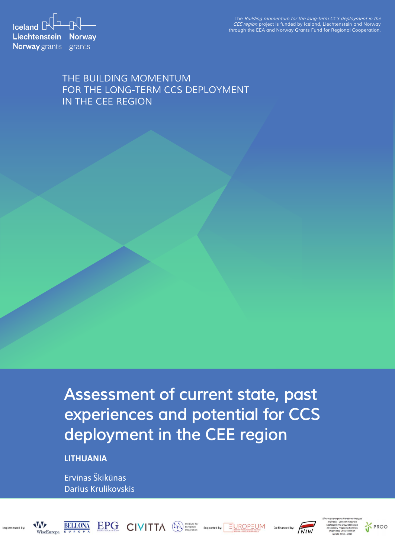The Building momentum for the long-term CCS deployment in the CEE region project is funded by Iceland, Liechtenstein and Norway through the EEA and Norway Grants Fund for Regional Cooperation.

**Iceland**  $\mathbb{R}^{\mathbb{L}}$   $\mathbb{N}$ Liechtenstein Norway **Norway** grants grants

### THE BUILDING MOMENTUM FOR THE LONG-TERM CCS DEPLOYMENT IN THE CEE REGION

Assessment of current state, past experiences and potential for CCS deployment in the CEE region

 $\text{EPG}_{\text{max} \text{ reduces } \text{CIVITA}}$   $\text{CIVITA}$   $\text{C}$   $\text{M} \text{Therefore}$  supported by:  $\text{EUCP} \text{CUM}$ 

**LITHUANIA**

Ervinas Škikūnas Darius Krulikovskis





Co-financed by:

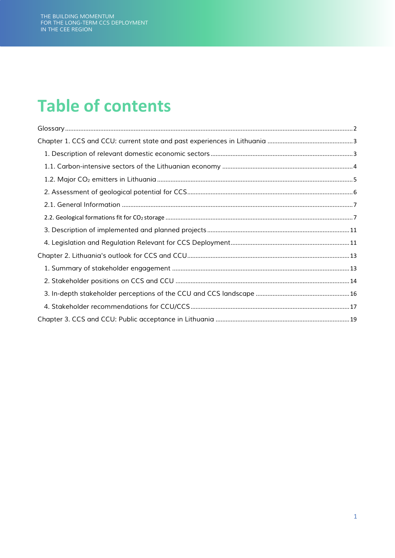## **Table of contents**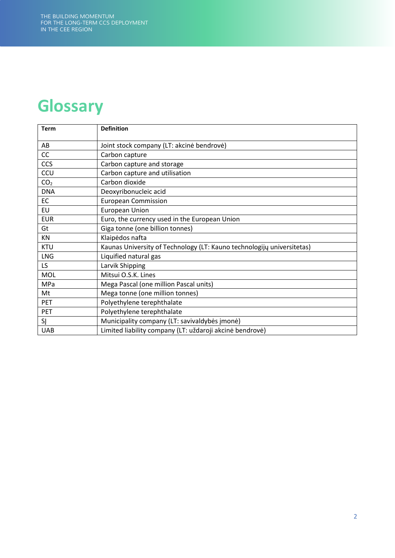## <span id="page-2-0"></span>**Glossary**

| <b>Term</b>     | <b>Definition</b>                                                      |
|-----------------|------------------------------------------------------------------------|
| AB              | Joint stock company (LT: akcinė bendrovė)                              |
| CC              | Carbon capture                                                         |
| <b>CCS</b>      | Carbon capture and storage                                             |
| CCU             | Carbon capture and utilisation                                         |
| CO <sub>2</sub> | Carbon dioxide                                                         |
| <b>DNA</b>      | Deoxyribonucleic acid                                                  |
| EC              | <b>European Commission</b>                                             |
| <b>EU</b>       | <b>European Union</b>                                                  |
| <b>EUR</b>      | Euro, the currency used in the European Union                          |
| Gt              | Giga tonne (one billion tonnes)                                        |
| ΚN              | Klaipėdos nafta                                                        |
| <b>KTU</b>      | Kaunas University of Technology (LT: Kauno technologijų universitetas) |
| <b>LNG</b>      | Liquified natural gas                                                  |
| LS.             | Larvik Shipping                                                        |
| <b>MOL</b>      | Mitsui O.S.K. Lines                                                    |
| MPa             | Mega Pascal (one million Pascal units)                                 |
| Mt              | Mega tonne (one million tonnes)                                        |
| PET             | Polyethylene terephthalate                                             |
| PET             | Polyethylene terephthalate                                             |
| SĮ              | Municipality company (LT: savivaldybės įmonė)                          |
| <b>UAB</b>      | Limited liability company (LT: uždaroji akcinė bendrovė)               |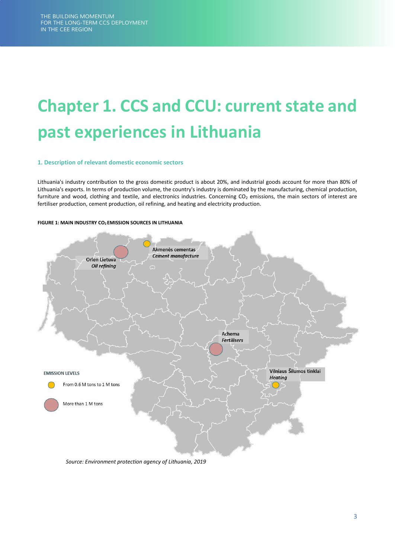# <span id="page-3-0"></span>**Chapter 1. CCS and CCU: current state and past experiences in Lithuania**

### <span id="page-3-1"></span>**1. Description of relevant domestic economic sectors**

Lithuania's industry contribution to the gross domestic product is about 20%, and industrial goods account for more than 80% of Lithuania's exports. In terms of production volume, the country's industry is dominated by the manufacturing, chemical production, furniture and wood, clothing and textile, and electronics industries. Concerning  $CO<sub>2</sub>$  emissions, the main sectors of interest are fertiliser production, cement production, oil refining, and heating and electricity production.

### **FIGURE 1: MAIN INDUSTRY CO2 EMISSION SOURCES IN LITHUANIA**



*Source: Environment protection agency of Lithuania, 2019*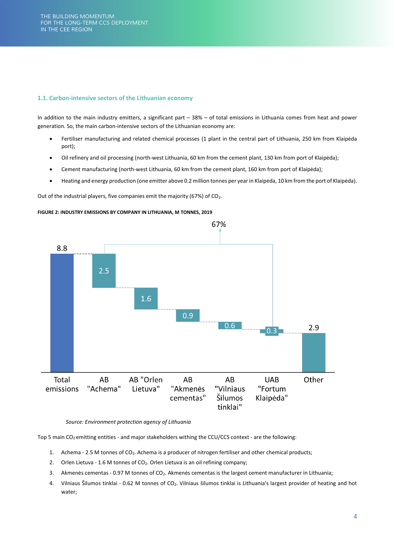### <span id="page-4-0"></span>**1.1. Carbon-intensive sectors of the Lithuanian economy**

In addition to the main industry emitters, a significant part – 38% – of total emissions in Lithuania comes from heat and power generation. So, the main carbon-intensive sectors of the Lithuanian economy are:

- Fertiliser manufacturing and related chemical processes (1 plant in the central part of Lithuania, 250 km from Klaipėda port);
- Oil refinery and oil processing (north-west Lithuania, 60 km from the cement plant, 130 km from port of Klaipėda);
- Cement manufacturing (north-west Lithuania, 60 km from the cement plant, 160 km from port of Klaipėda);
- Heating and energy production (one emitter above 0.2 million tonnes per year in Klaipėda, 10 km from the port of Klaipėda).

Out of the industrial players, five companies emit the majority (67%) of  $CO<sub>2</sub>$ .

### **FIGURE 2: INDUSTRY EMISSIONS BY COMPANY IN LITHUANIA, M TONNES, 2019**



*Source: Environment protection agency of Lithuania* 

Top 5 main CO<sub>2</sub> emitting entities - and major stakeholders withing the CCU/CCS context - are the following:

- 1. Achema 2.5 M tonnes of CO<sub>2</sub>. Achema is a producer of nitrogen fertiliser and other chemical products;
- 2. Orlen Lietuva 1.6 M tonnes of CO<sub>2</sub>. Orlen Lietuva is an oil refining company;
- 3. Akmenės cementas 0.97 M tonnes of CO<sub>2</sub>. Akmenės cementas is the largest cement manufacturer in Lithuania;
- 4. Vilniaus Šilumos tinklai 0.62 M tonnes of CO<sub>2</sub>. Vilniaus šilumos tinklai is Lithuania's largest provider of heating and hot water;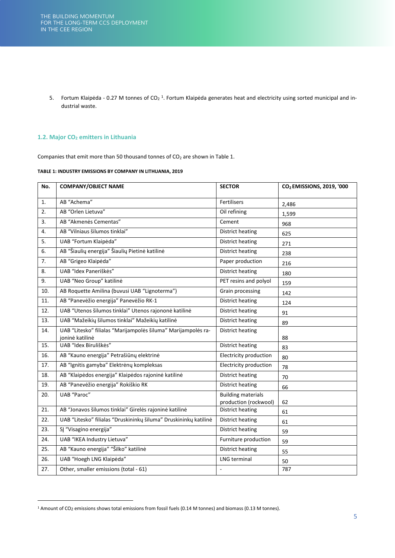5. Fortum Klaipėda - 0.27 M tonnes of CO<sub>2</sub><sup>1</sup>. Fortum Klaipėda generates heat and electricity using sorted municipal and industrial waste.

### <span id="page-5-0"></span>**1.2. Major CO2 emitters in Lithuania**

Companies that emit more than 50 thousand tonnes of  $CO<sub>2</sub>$  are shown in Table 1.

|  |  | TABLE 1: INDUSTRY EMISSIONS BY COMPANY IN LITHUANIA, 2019 |
|--|--|-----------------------------------------------------------|
|  |  |                                                           |

| No. | <b>COMPANY/OBJECT NAME</b>                                                       | <b>SECTOR</b>                                      | CO <sub>2</sub> EMISSIONS, 2019, '000 |
|-----|----------------------------------------------------------------------------------|----------------------------------------------------|---------------------------------------|
| 1.  | AB "Achema"                                                                      | Fertilisers                                        | 2,486                                 |
| 2.  | AB "Orlen Lietuva"                                                               | Oil refining                                       | 1,599                                 |
| 3.  | AB "Akmenės Cementas"                                                            | Cement                                             | 968                                   |
| 4.  | AB "Vilniaus šilumos tinklai"                                                    | <b>District heating</b>                            | 625                                   |
| 5.  | UAB "Fortum Klaipėda"                                                            | <b>District heating</b>                            | 271                                   |
| 6.  | AB "Šiaulių energija" Šiaulių Pietinė katilinė                                   | District heating                                   | 238                                   |
| 7.  | AB "Grigeo Klaipėda"                                                             | Paper production                                   | 216                                   |
| 8.  | UAB "Idex Paneriškės"                                                            | District heating                                   | 180                                   |
| 9.  | UAB "Neo Group" katilinė                                                         | PET resins and polyol                              | 159                                   |
| 10. | AB Roquette Amilina (buvusi UAB "Lignoterma")                                    | Grain processing                                   | 142                                   |
| 11. | AB "Panevėžio energija" Panevėžio RK-1                                           | <b>District heating</b>                            | 124                                   |
| 12. | UAB "Utenos šilumos tinklai" Utenos rajononė katilinė                            | District heating                                   | 91                                    |
| 13. | UAB "Mažeikių šilumos tinklai" Mažeikių katilinė                                 | <b>District heating</b>                            | 89                                    |
| 14. | UAB "Litesko" filialas "Marijampolės šiluma" Marijampolės ra-<br>joninė katilinė | <b>District heating</b>                            | 88                                    |
| 15. | UAB "Idex Biruliškės"                                                            | <b>District heating</b>                            | 83                                    |
| 16. | AB "Kauno energija" Petrašiūnų elektrinė                                         | Electricity production                             | 80                                    |
| 17. | AB "Ignitis gamyba" Elektrėnų kompleksas                                         | Electricity production                             | 78                                    |
| 18. | AB "Klaipėdos energija" Klaipėdos rajoninė katilinė                              | <b>District heating</b>                            | 70                                    |
| 19. | AB "Panevėžio energija" Rokiškio RK                                              | <b>District heating</b>                            | 66                                    |
| 20. | UAB "Paroc"                                                                      | <b>Building materials</b><br>production (rockwool) | 62                                    |
| 21. | AB "Jonavos šilumos tinklai" Girelės rajoninė katilinė                           | <b>District heating</b>                            | 61                                    |
| 22. | UAB "Litesko" filialas "Druskininkų šiluma" Druskininkų katilinė                 | District heating                                   | 61                                    |
| 23. | SĮ "Visagino energija"                                                           | <b>District heating</b>                            | 59                                    |
| 24. | UAB "IKEA Industry Lietuva"                                                      | Furniture production                               | 59                                    |
| 25. | AB "Kauno energija" "Šilko" katilinė                                             | <b>District heating</b>                            | 55                                    |
| 26. | UAB "Hoegh LNG Klaipėda"                                                         | LNG terminal                                       | 50                                    |
| 27. | Other, smaller emissions (total - 61)                                            |                                                    | 787                                   |

<sup>&</sup>lt;sup>1</sup> Amount of CO<sub>2</sub> emissions shows total emissions from fossil fuels (0.14 M tonnes) and biomass (0.13 M tonnes).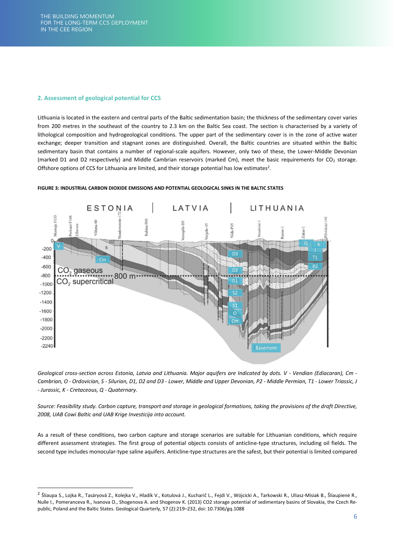### <span id="page-6-0"></span>**2. Assessment of geological potential for CCS**

Lithuania is located in the eastern and central parts of the Baltic sedimentation basin; the thickness of the sedimentary cover varies from 200 metres in the southeast of the country to 2.3 km on the Baltic Sea coast. The section is characterised by a variety of lithological composition and hydrogeological conditions. The upper part of the sedimentary cover is in the zone of active water exchange; deeper transition and stagnant zones are distinguished. Overall, the Baltic countries are situated within the Baltic sedimentary basin that contains a number of regional-scale aquifers. However, only two of these, the Lower-Middle Devonian (marked D1 and D2 respectively) and Middle Cambrian reservoirs (marked Cm), meet the basic requirements for CO<sub>2</sub> storage. Offshore options of CCS for Lithuania are limited, and their storage potential has low estimates<sup>2</sup>.



### **FIGURE 3: INDUSTRIAL CARBON DIOXIDE EMISSIONS AND POTENTIAL GEOLOGICAL SINKS IN THE BALTIC STATES**

*Geological cross-section across Estonia, Latvia and Lithuania. Major aquifers are Indicated by dots. V - Vendian (Ediacaran), Cm - Cambrian, O - Ordovician, S - Silurian, D1, D2 and D3 - Lower, Middle and Upper Devonian, P2 - Middle Permian, T1 - Lower Triassic, J - Jurassic, K - Cretaceous, Q - Quaternary.* 

*Source: Feasibility study. Carbon capture, transport and storage in geological formations, taking the provisions of the draft Directive, 2008, UAB Cowi Baltic and UAB Krige Investicija into account.*

As a result of these conditions, two carbon capture and storage scenarios are suitable for Lithuanian conditions, which require different assessment strategies. The first group of potential objects consists of anticline-type structures, including oil fields. The second type includes monocular-type saline aquifers. Anticline-type structures are the safest, but their potential is limited compared

<sup>&</sup>lt;sup>2</sup> Šliaupa S., Lojka R., Tasáryová Z., Kolejka V., Hladík V., Kotulová J., Kucharič L., Fejdi V., Wójcicki A., Tarkowski R., Uliasz-Misiak B., Šliaupienė R., Nulle I., Pomeranceva R., Ivanova O., Shogenova A. and Shogenov K. (2013) CO2 storage potential of sedimentary basins of Slovakia, the Czech Republic, Poland and the Baltic States. Geological Quarterly, 57 (2):219–232, doi: 10.7306/gq.1088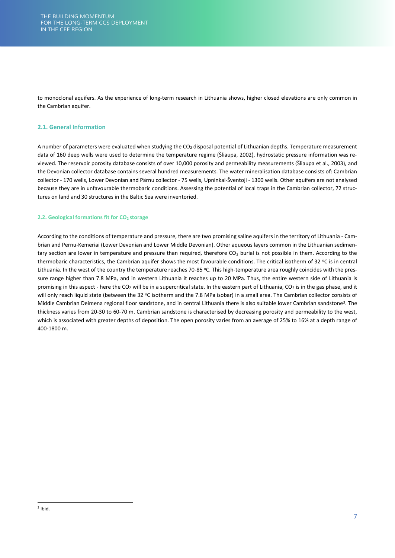to monoclonal aquifers. As the experience of long-term research in Lithuania shows, higher closed elevations are only common in the Cambrian aquifer.

### <span id="page-7-0"></span>**2.1. General Information**

A number of parameters were evaluated when studying the  $CO<sub>2</sub>$  disposal potential of Lithuanian depths. Temperature measurement data of 160 deep wells were used to determine the temperature regime (Šliaupa, 2002), hydrostatic pressure information was reviewed. The reservoir porosity database consists of over 10,000 porosity and permeability measurements (Šliaupa et al., 2003), and the Devonian collector database contains several hundred measurements. The water mineralisation database consists of: Cambrian collector - 170 wells, Lower Devonian and Pärnu collector - 75 wells, Upninkai-Šventoji - 1300 wells. Other aquifers are not analysed because they are in unfavourable thermobaric conditions. Assessing the potential of local traps in the Cambrian collector, 72 structures on land and 30 structures in the Baltic Sea were inventoried.

### <span id="page-7-1"></span>**2.2. Geological formations fit for CO2 storage**

According to the conditions of temperature and pressure, there are two promising saline aquifers in the territory of Lithuania - Cambrian and Pernu-Kemeriai (Lower Devonian and Lower Middle Devonian). Other aqueous layers common in the Lithuanian sedimentary section are lower in temperature and pressure than required, therefore  $CO<sub>2</sub>$  burial is not possible in them. According to the thermobaric characteristics, the Cambrian aquifer shows the most favourable conditions. The critical isotherm of 32 °C is in central Lithuania. In the west of the country the temperature reaches 70-85 °C. This high-temperature area roughly coincides with the pressure range higher than 7.8 MPa, and in western Lithuania it reaches up to 20 MPa. Thus, the entire western side of Lithuania is promising in this aspect - here the CO<sub>2</sub> will be in a supercritical state. In the eastern part of Lithuania, CO<sub>2</sub> is in the gas phase, and it will only reach liquid state (between the 32 °C isotherm and the 7.8 MPa isobar) in a small area. The Cambrian collector consists of Middle Cambrian Deimena regional floor sandstone, and in central Lithuania there is also suitable lower Cambrian sandstone<sup>3</sup>. The thickness varies from 20-30 to 60-70 m. Cambrian sandstone is characterised by decreasing porosity and permeability to the west, which is associated with greater depths of deposition. The open porosity varies from an average of 25% to 16% at a depth range of 400-1800 m.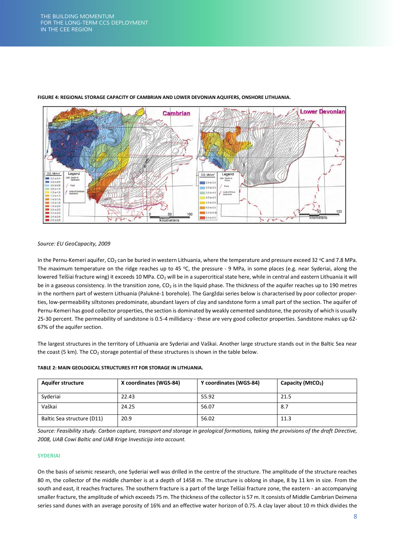

### **FIGURE 4: REGIONAL STORAGE CAPACITY OF CAMBRIAN AND LOWER DEVONIAN AQUIFERS, ONSHORE LITHUANIA.**

### *Source: EU GeoCapacity, 2009*

In the Pernu-Kemeri aquifer,  $CO_2$  can be buried in western Lithuania, where the temperature and pressure exceed 32 °C and 7.8 MPa. The maximum temperature on the ridge reaches up to 45 °C, the pressure - 9 MPa, in some places (e.g. near Syderiai, along the lowered Telšiai fracture wing) it exceeds 10 MPa. CO<sub>2</sub> will be in a supercritical state here, while in central and eastern Lithuania it will be in a gaseous consistency. In the transition zone,  $CO<sub>2</sub>$  is in the liquid phase. The thickness of the aquifer reaches up to 190 metres in the northern part of western Lithuania (Paluknė-1 borehole). The Gargždai series below is characterised by poor collector properties, low-permeability siltstones predominate, abundant layers of clay and sandstone form a small part of the section. The aquifer of Pernu-Kemeri has good collector properties, the section is dominated by weakly cemented sandstone, the porosity of which is usually 25-30 percent. The permeability of sandstone is 0.5-4 millidarcy - these are very good collector properties. Sandstone makes up 62- 67% of the aquifer section.

The largest structures in the territory of Lithuania are Syderiai and Vaškai. Another large structure stands out in the Baltic Sea near the coast (5 km). The CO<sub>2</sub> storage potential of these structures is shown in the table below.

| <b>Aquifer structure</b>   | X coordinates (WGS-84) | Y coordinates (WGS-84) | Capacity (MtCO2) |
|----------------------------|------------------------|------------------------|------------------|
| Syderiai                   | 22.43                  | 55.92                  | 21.5             |
| Vaškai                     | 24.25                  | 56.07                  | 8.7              |
| Baltic Sea structure (D11) | 20.9                   | 56.02                  | 11.3             |

### **TABLE 2: MAIN GEOLOGICAL STRUCTURES FIT FOR STORAGE IN LITHUANIA.**

*Source: Feasibility study. Carbon capture, transport and storage in geological formations, taking the provisions of the draft Directive, 2008, UAB Cowi Baltic and UAB Krige Investicija into account.*

### **SYDERIAI**

On the basis of seismic research, one Syderiai well was drilled in the centre of the structure. The amplitude of the structure reaches 80 m, the collector of the middle chamber is at a depth of 1458 m. The structure is oblong in shape, 8 by 11 km in size. From the south and east, it reaches fractures. The southern fracture is a part of the large Telšiai fracture zone, the eastern - an accompanying smaller fracture, the amplitude of which exceeds 75 m. The thickness of the collector is 57 m. It consists of Middle Cambrian Deimena series sand dunes with an average porosity of 16% and an effective water horizon of 0.75. A clay layer about 10 m thick divides the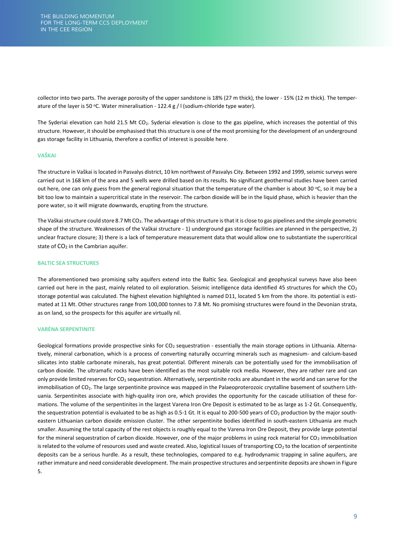collector into two parts. The average porosity of the upper sandstone is 18% (27 m thick), the lower - 15% (12 m thick). The temperature of the layer is 50 °C. Water mineralisation - 122.4 g /  $\mid$  (sodium-chloride type water).

The Syderiai elevation can hold 21.5 Mt CO<sub>2</sub>. Syderiai elevation is close to the gas pipeline, which increases the potential of this structure. However, it should be emphasised that this structure is one of the most promising for the development of an underground gas storage facility in Lithuania, therefore a conflict of interest is possible here.

### **VAŠKAI**

The structure in Vaškai is located in Pasvalys district, 10 km northwest of Pasvalys City. Between 1992 and 1999, seismic surveys were carried out in 168 km of the area and 5 wells were drilled based on its results. No significant geothermal studies have been carried out here, one can only guess from the general regional situation that the temperature of the chamber is about 30 °C, so it may be a bit too low to maintain a supercritical state in the reservoir. The carbon dioxide will be in the liquid phase, which is heavier than the pore water, so it will migrate downwards, erupting from the structure.

The Vaškai structure could store 8.7 Mt CO2. The advantage of this structure is that it is close to gas pipelines and the simple geometric shape of the structure. Weaknesses of the Vaškai structure - 1) underground gas storage facilities are planned in the perspective, 2) unclear fracture closure; 3) there is a lack of temperature measurement data that would allow one to substantiate the supercritical state of CO<sub>2</sub> in the Cambrian aquifer.

### **BALTIC SEA STRUCTURES**

The aforementioned two promising salty aquifers extend into the Baltic Sea. Geological and geophysical surveys have also been carried out here in the past, mainly related to oil exploration. Seismic intelligence data identified 45 structures for which the  $CO<sub>2</sub>$ storage potential was calculated. The highest elevation highlighted is named D11, located 5 km from the shore. Its potential is estimated at 11 Mt. Other structures range from 100,000 tonnes to 7.8 Mt. No promising structures were found in the Devonian strata, as on land, so the prospects for this aquifer are virtually nil.

### **VARĖNA SERPENTINITE**

Geological formations provide prospective sinks for CO<sub>2</sub> sequestration - essentially the main storage options in Lithuania. Alternatively, mineral carbonation, which is a process of converting naturally occurring minerals such as magnesium- and calcium-based silicates into stable carbonate minerals, has great potential. Different minerals can be potentially used for the immobilisation of carbon dioxide. The ultramafic rocks have been identified as the most suitable rock media. However, they are rather rare and can only provide limited reserves for CO2 sequestration. Alternatively, serpentinite rocks are abundant in the world and can serve for the immobilisation of CO<sub>2</sub>. The large serpentinite province was mapped in the Palaeoproterozoic crystalline basement of southern Lithuania. Serpentinites associate with high-quality iron ore, which provides the opportunity for the cascade utilisation of these formations. The volume of the serpentinites in the largest Varena Iron Ore Deposit is estimated to be as large as 1-2 Gt. Consequently, the sequestration potential is evaluated to be as high as 0.5-1 Gt. It is equal to 200-500 years of  $CO<sub>2</sub>$  production by the major southeastern Lithuanian carbon dioxide emission cluster. The other serpentinite bodies identified in south-eastern Lithuania are much smaller. Assuming the total capacity of the rest objects is roughly equal to the Varena Iron Ore Deposit, they provide large potential for the mineral sequestration of carbon dioxide. However, one of the major problems in using rock material for  $CO<sub>2</sub>$  immobilisation is related to the volume of resources used and waste created. Also, logistical Issues of transporting  $CO<sub>2</sub>$  to the location of serpentinite deposits can be a serious hurdle. As a result, these technologies, compared to e.g. hydrodynamic trapping in saline aquifers, are rather immature and need considerable development. The main prospective structures and serpentinite deposits are shown i[n Figure](#page-10-0) [5.](#page-10-0)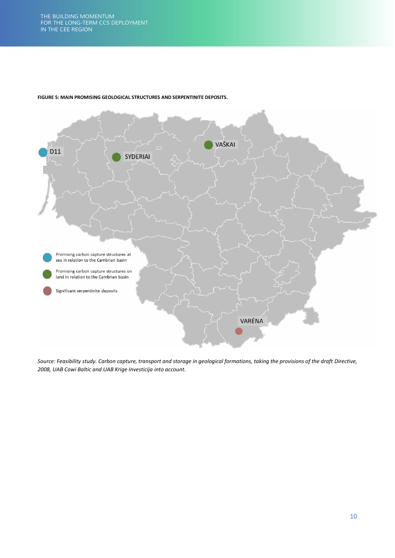

### <span id="page-10-0"></span>**FIGURE 5: MAIN PROMISING GEOLOGICAL STRUCTURES AND SERPENTINITE DEPOSITS.**

*Source: Feasibility study. Carbon capture, transport and storage in geological formations, taking the provisions of the draft Directive, 2008, UAB Cowi Baltic and UAB Krige Investicija into account.*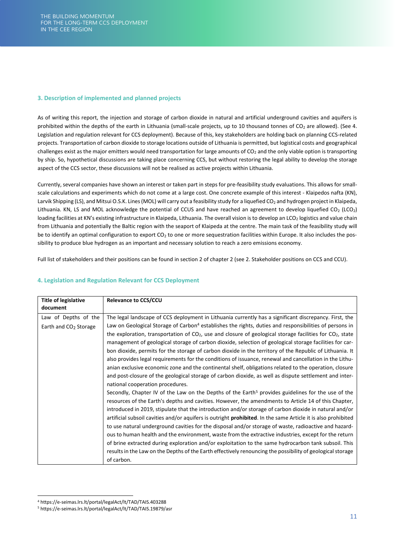### <span id="page-11-0"></span>**3. Description of implemented and planned projects**

As of writing this report, the injection and storage of carbon dioxide in natural and artificial underground cavities and aquifers is prohibited within the depths of the earth in Lithuania (small-scale projects, up to 10 thousand tonnes of CO<sub>2</sub> are allowed). (See 4. Legislation and regulation relevant for CCS deployment). Because of this, key stakeholders are holding back on planning CCS-related projects. Transportation of carbon dioxide to storage locations outside of Lithuania is permitted, but logistical costs and geographical challenges exist as the major emitters would need transportation for large amounts of  $CO<sub>2</sub>$  and the only viable option is transporting by ship. So, hypothetical discussions are taking place concerning CCS, but without restoring the legal ability to develop the storage aspect of the CCS sector, these discussions will not be realised as active projects within Lithuania.

Currently, several companies have shown an interest or taken part in steps for pre-feasibility study evaluations. This allows for smallscale calculations and experiments which do not come at a large cost. One concrete example of this interest - Klaipedos nafta (KN), Larvik Shipping (LS), and Mitsui O.S.K. Lines (MOL) will carry out a feasibility study for a liquefied CO<sub>2</sub> and hydrogen project in Klaipeda, Lithuania. KN, LS and MOL acknowledge the potential of CCUS and have reached an agreement to develop liquefied CO<sub>2</sub> (LCO<sub>2</sub>) loading facilities at KN's existing infrastructure in Klaipeda, Lithuania. The overall vision is to develop an LCO<sub>2</sub> logistics and value chain from Lithuania and potentially the Baltic region with the seaport of Klaipeda at the centre. The main task of the feasibility study will be to identify an optimal configuration to export  $CO<sub>2</sub>$  to one or more sequestration facilities within Europe. It also includes the possibility to produce blue hydrogen as an important and necessary solution to reach a zero emissions economy.

Full list of stakeholders and their positions can be found in section 2 of chapter 2 (se[e 2. Stakeholder positions on CCS and CCU\)](#page-14-0).

| <b>Title of legislative</b>       | <b>Relevance to CCS/CCU</b>                                                                                           |
|-----------------------------------|-----------------------------------------------------------------------------------------------------------------------|
| document                          |                                                                                                                       |
| Law of Depths of the              | The legal landscape of CCS deployment in Lithuania currently has a significant discrepancy. First, the                |
| Earth and CO <sub>2</sub> Storage | Law on Geological Storage of Carbon <sup>4</sup> establishes the rights, duties and responsibilities of persons in    |
|                                   | the exploration, transportation of $CO2$ , use and closure of geological storage facilities for $CO2$ , state         |
|                                   | management of geological storage of carbon dioxide, selection of geological storage facilities for car-               |
|                                   | bon dioxide, permits for the storage of carbon dioxide in the territory of the Republic of Lithuania. It              |
|                                   | also provides legal requirements for the conditions of issuance, renewal and cancellation in the Lithu-               |
|                                   | anian exclusive economic zone and the continental shelf, obligations related to the operation, closure                |
|                                   | and post-closure of the geological storage of carbon dioxide, as well as dispute settlement and inter-                |
|                                   | national cooperation procedures.                                                                                      |
|                                   | Secondly, Chapter IV of the Law on the Depths of the Earth <sup>5</sup> provides guidelines for the use of the        |
|                                   | resources of the Earth's depths and cavities. However, the amendments to Article 14 of this Chapter,                  |
|                                   | introduced in 2019, stipulate that the introduction and/or storage of carbon dioxide in natural and/or                |
|                                   | artificial subsoil cavities and/or aquifers is outright <b>prohibited</b> . In the same Article it is also prohibited |
|                                   | to use natural underground cavities for the disposal and/or storage of waste, radioactive and hazard-                 |
|                                   | ous to human health and the environment, waste from the extractive industries, except for the return                  |
|                                   | of brine extracted during exploration and/or exploitation to the same hydrocarbon tank subsoil. This                  |
|                                   | results in the Law on the Depths of the Earth effectively renouncing the possibility of geological storage            |
|                                   | of carbon.                                                                                                            |

### <span id="page-11-1"></span>**4. Legislation and Regulation Relevant for CCS Deployment**

<sup>4</sup> https://e-seimas.lrs.lt/portal/legalAct/lt/TAD/TAIS.403288

<sup>5</sup> https://e-seimas.lrs.lt/portal/legalAct/lt/TAD/TAIS.19879/asr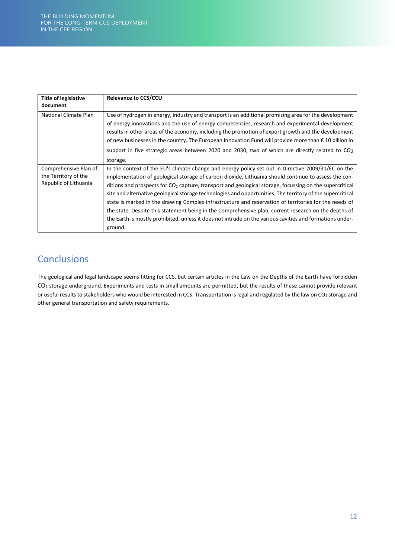| <b>Title of legislative</b><br>document                                | <b>Relevance to CCS/CCU</b>                                                                                                                                                                                                                                                                                                                                                                                                                                                                                                                                                                                                                                                                                                                                                   |
|------------------------------------------------------------------------|-------------------------------------------------------------------------------------------------------------------------------------------------------------------------------------------------------------------------------------------------------------------------------------------------------------------------------------------------------------------------------------------------------------------------------------------------------------------------------------------------------------------------------------------------------------------------------------------------------------------------------------------------------------------------------------------------------------------------------------------------------------------------------|
| National Climate Plan                                                  | Use of hydrogen in energy, industry and transport is an additional promising area for the development<br>of energy innovations and the use of energy competencies, research and experimental development<br>results in other areas of the economy, including the promotion of export growth and the development<br>of new businesses in the country. The European Innovation Fund will provide more than $\epsilon$ 10 billion in<br>support in five strategic areas between 2020 and 2030, two of which are directly related to $CO2$<br>storage.                                                                                                                                                                                                                            |
| Comprehensive Plan of<br>the Territory of the<br>Republic of Lithuania | In the context of the EU's climate change and energy policy set out in Directive 2009/31/EC on the<br>implementation of geological storage of carbon dioxide, Lithuania should continue to assess the con-<br>ditions and prospects for $CO2$ capture, transport and geological storage, focussing on the supercritical<br>site and alternative geological storage technologies and opportunities. The territory of the supercritical<br>state is marked in the drawing Complex infrastructure and reservation of territories for the needs of<br>the state. Despite this statement being in the Comprehensive plan, current research on the depths of<br>the Earth is mostly prohibited, unless it does not intrude on the various cavities and formations under-<br>ground. |

## **Conclusions**

The geological and legal landscape seems fitting for CCS, but certain articles in the Law on the Depths of the Earth have forbidden CO2 storage underground. Experiments and tests in small amounts are permitted, but the results of these cannot provide relevant or useful results to stakeholders who would be interested in CCS. Transportation is legal and regulated by the law on CO<sub>2</sub> storage and other general transportation and safety requirements.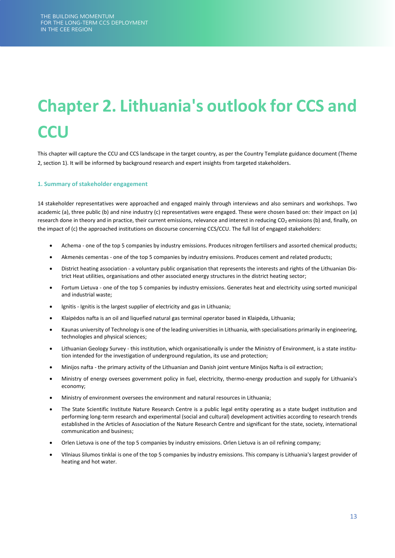# <span id="page-13-0"></span>**Chapter 2. Lithuania's outlook for CCS and CCU**

This chapter will capture the CCU and CCS landscape in the target country, as per the Country Template guidance document (Theme 2, section 1). It will be informed by background research and expert insights from targeted stakeholders.

### <span id="page-13-1"></span>**1. Summary of stakeholder engagement**

14 stakeholder representatives were approached and engaged mainly through interviews and also seminars and workshops. Two academic (a), three public (b) and nine industry (c) representatives were engaged. These were chosen based on: their impact on (a) research done in theory and in practice, their current emissions, relevance and interest in reducing CO<sub>2</sub> emissions (b) and, finally, on the impact of (c) the approached institutions on discourse concerning CCS/CCU. The full list of engaged stakeholders:

- Achema one of the top 5 companies by industry emissions. Produces nitrogen fertilisers and assorted chemical products;
- Akmenės cementas one of the top 5 companies by industry emissions. Produces cement and related products;
- District heating association a voluntary public organisation that represents the interests and rights of the Lithuanian District Heat utilities, organisations and other associated energy structures in the district heating sector;
- Fortum Lietuva one of the top 5 companies by industry emissions. Generates heat and electricity using sorted municipal and industrial waste;
- Ignitis Ignitis is the largest supplier of electricity and gas in Lithuania;
- Klaipėdos nafta is an oil and liquefied natural gas terminal operator based in Klaipėda, Lithuania;
- Kaunas university of Technology is one of the leading universities in Lithuania, with specialisations primarily in engineering, technologies and physical sciences;
- Lithuanian Geology Survey this institution, which organisationally is under the Ministry of Environment, is a state institution intended for the investigation of underground regulation, its use and protection;
- Minijos nafta the primary activity of the Lithuanian and Danish joint venture Minijos Nafta is oil extraction;
- Ministry of energy oversees government policy in fuel, electricity, thermo-energy production and supply for Lithuania's economy;
- Ministry of environment oversees the environment and natural resources in Lithuania;
- The State Scientific Institute Nature Research Centre is a public legal entity operating as a state budget institution and performing long-term research and experimental (social and cultural) development activities according to research trends established in the Articles of Association of the Nature Research Centre and significant for the state, society, international communication and business;
- Orlen Lietuva is one of the top 5 companies by industry emissions. Orlen Lietuva is an oil refining company;
- VIlniaus šilumos tinklai is one of the top 5 companies by industry emissions. This company is Lithuania's largest provider of heating and hot water.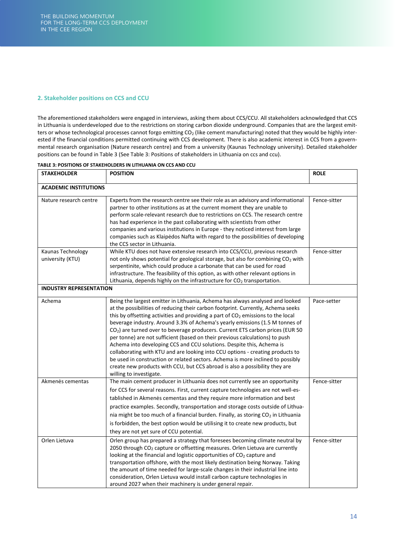### <span id="page-14-0"></span>**2. Stakeholder positions on CCS and CCU**

The aforementioned stakeholders were engaged in interviews, asking them about CCS/CCU. All stakeholders acknowledged that CCS in Lithuania is underdeveloped due to the restrictions on storing carbon dioxide underground. Companies that are the largest emitters or whose technological processes cannot forgo emitting  $CO<sub>2</sub>$  (like cement manufacturing) noted that they would be highly interested if the financial conditions permitted continuing with CCS development. There is also academic interest in CCS from a governmental research organisation (Nature research centre) and from a university (Kaunas Technology university). Detailed stakeholder positions can be found in Table 3 (See [Table 3: Positions of stakeholders in Lithuania on ccs and ccu\)](#page-14-1).

| <b>STAKEHOLDER</b>                    | <b>POSITION</b>                                                                                                                                                                                                                                                                                                                                                                                                                                                                                                                                                                                                                                                                                                                                                                                                                                                                         | <b>ROLE</b>  |  |  |
|---------------------------------------|-----------------------------------------------------------------------------------------------------------------------------------------------------------------------------------------------------------------------------------------------------------------------------------------------------------------------------------------------------------------------------------------------------------------------------------------------------------------------------------------------------------------------------------------------------------------------------------------------------------------------------------------------------------------------------------------------------------------------------------------------------------------------------------------------------------------------------------------------------------------------------------------|--------------|--|--|
| <b>ACADEMIC INSTITUTIONS</b>          |                                                                                                                                                                                                                                                                                                                                                                                                                                                                                                                                                                                                                                                                                                                                                                                                                                                                                         |              |  |  |
| Nature research centre                | Experts from the research centre see their role as an advisory and informational<br>partner to other institutions as at the current moment they are unable to<br>perform scale-relevant research due to restrictions on CCS. The research centre<br>has had experience in the past collaborating with scientists from other<br>companies and various institutions in Europe - they noticed interest from large<br>companies such as Klaipėdos Nafta with regard to the possibilities of developing<br>the CCS sector in Lithuania.                                                                                                                                                                                                                                                                                                                                                      | Fence-sitter |  |  |
| Kaunas Technology<br>university (KTU) | While KTU does not have extensive research into CCS/CCU, previous research<br>not only shows potential for geological storage, but also for combining CO <sub>2</sub> with<br>serpentinite, which could produce a carbonate that can be used for road<br>infrastructure. The feasibility of this option, as with other relevant options in<br>Lithuania, depends highly on the infrastructure for CO <sub>2</sub> transportation.                                                                                                                                                                                                                                                                                                                                                                                                                                                       | Fence-sitter |  |  |
| <b>INDUSTRY REPRESENTATION</b>        |                                                                                                                                                                                                                                                                                                                                                                                                                                                                                                                                                                                                                                                                                                                                                                                                                                                                                         |              |  |  |
| Achema                                | Being the largest emitter in Lithuania, Achema has always analysed and looked<br>at the possibilities of reducing their carbon footprint. Currently, Achema seeks<br>this by offsetting activities and providing a part of CO <sub>2</sub> emissions to the local<br>beverage industry. Around 3.3% of Achema's yearly emissions (1.5 M tonnes of<br>CO <sub>2</sub> ) are turned over to beverage producers. Current ETS carbon prices (EUR 50<br>per tonne) are not sufficient (based on their previous calculations) to push<br>Achema into developing CCS and CCU solutions. Despite this, Achema is<br>collaborating with KTU and are looking into CCU options - creating products to<br>be used in construction or related sectors. Achema is more inclined to possibly<br>create new products with CCU, but CCS abroad is also a possibility they are<br>willing to investigate. | Pace-setter  |  |  |
| Akmenės cementas                      | The main cement producer in Lithuania does not currently see an opportunity<br>for CCS for several reasons. First, current capture technologies are not well-es-<br>tablished in Akmenės cementas and they require more information and best<br>practice examples. Secondly, transportation and storage costs outside of Lithua-<br>nia might be too much of a financial burden. Finally, as storing CO <sub>2</sub> in Lithuania<br>is forbidden, the best option would be utilising it to create new products, but<br>they are not yet sure of CCU potential.                                                                                                                                                                                                                                                                                                                         | Fence-sitter |  |  |
| Orlen Lietuva                         | Orlen group has prepared a strategy that foresees becoming climate neutral by<br>2050 through CO <sub>2</sub> capture or offsetting measures. Orlen Lietuva are currently<br>looking at the financial and logistic opportunities of CO <sub>2</sub> capture and<br>transportation offshore, with the most likely destination being Norway. Taking<br>the amount of time needed for large-scale changes in their industrial line into<br>consideration, Orlen Lietuva would install carbon capture technologies in<br>around 2027 when their machinery is under general repair.                                                                                                                                                                                                                                                                                                          | Fence-sitter |  |  |

#### <span id="page-14-1"></span>**TABLE 3: POSITIONS OF STAKEHOLDERS IN LITHUANIA ON CCS AND CCU**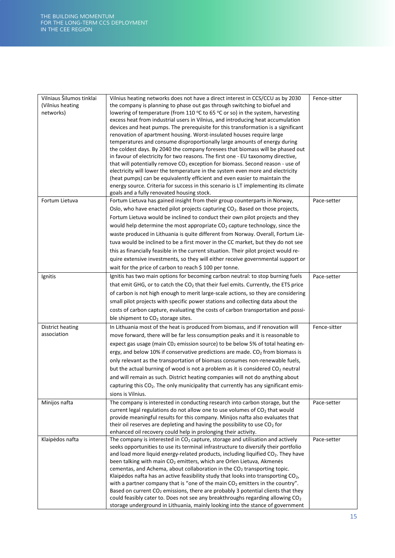| Vilniaus Šilumos tinklai<br>(Vilnius heating<br>networks) | Vilnius heating networks does not have a direct interest in CCS/CCU as by 2030<br>the company is planning to phase out gas through switching to biofuel and<br>lowering of temperature (from 110 °C to 65 °C or so) in the system, harvesting<br>excess heat from industrial users in Vilnius, and introducing heat accumulation<br>devices and heat pumps. The prerequisite for this transformation is a significant<br>renovation of apartment housing. Worst-insulated houses require large<br>temperatures and consume disproportionally large amounts of energy during<br>the coldest days. By 2040 the company foresees that biomass will be phased out<br>in favour of electricity for two reasons. The first one - EU taxonomy directive,<br>that will potentially remove CO <sub>2</sub> exception for biomass. Second reason - use of<br>electricity will lower the temperature in the system even more and electricity<br>(heat pumps) can be equivalently efficient and even easier to maintain the<br>energy source. Criteria for success in this scenario is LT implementing its climate<br>goals and a fully renovated housing stock. | Fence-sitter |
|-----------------------------------------------------------|------------------------------------------------------------------------------------------------------------------------------------------------------------------------------------------------------------------------------------------------------------------------------------------------------------------------------------------------------------------------------------------------------------------------------------------------------------------------------------------------------------------------------------------------------------------------------------------------------------------------------------------------------------------------------------------------------------------------------------------------------------------------------------------------------------------------------------------------------------------------------------------------------------------------------------------------------------------------------------------------------------------------------------------------------------------------------------------------------------------------------------------------------|--------------|
| Fortum Lietuva                                            | Fortum Lietuva has gained insight from their group counterparts in Norway,<br>Oslo, who have enacted pilot projects capturing CO <sub>2</sub> . Based on those projects,<br>Fortum Lietuva would be inclined to conduct their own pilot projects and they<br>would help determine the most appropriate $CO2$ capture technology, since the<br>waste produced in Lithuania is quite different from Norway. Overall, Fortum Lie-<br>tuva would be inclined to be a first mover in the CC market, but they do not see<br>this as financially feasible in the current situation. Their pilot project would re-<br>quire extensive investments, so they will either receive governmental support or<br>wait for the price of carbon to reach \$100 per tonne.                                                                                                                                                                                                                                                                                                                                                                                             | Pace-setter  |
| Ignitis                                                   | Ignitis has two main options for becoming carbon neutral: to stop burning fuels<br>that emit GHG, or to catch the CO <sub>2</sub> that their fuel emits. Currently, the ETS price<br>of carbon is not high enough to merit large-scale actions, so they are considering<br>small pilot projects with specific power stations and collecting data about the<br>costs of carbon capture, evaluating the costs of carbon transportation and possi-<br>ble shipment to CO <sub>2</sub> storage sites.                                                                                                                                                                                                                                                                                                                                                                                                                                                                                                                                                                                                                                                    | Pace-setter  |
| District heating<br>association                           | In Lithuania most of the heat is produced from biomass, and if renovation will<br>move forward, there will be far less consumption peaks and it is reasonable to<br>expect gas usage (main CO <sub>2</sub> emission source) to be below 5% of total heating en-<br>ergy, and below 10% if conservative predictions are made. CO <sub>2</sub> from biomass is<br>only relevant as the transportation of biomass consumes non-renewable fuels,<br>but the actual burning of wood is not a problem as it is considered CO <sub>2</sub> neutral<br>and will remain as such. District heating companies will not do anything about<br>capturing this CO <sub>2</sub> . The only municipality that currently has any significant emis-<br>sions is Vilnius.                                                                                                                                                                                                                                                                                                                                                                                                | Fence-sitter |
| Minijos nafta                                             | The company is interested in conducting research into carbon storage, but the<br>current legal regulations do not allow one to use volumes of CO <sub>2</sub> that would<br>provide meaningful results for this company. Minijos nafta also evaluates that<br>their oil reserves are depleting and having the possibility to use CO <sub>2</sub> for<br>enhanced oil recovery could help in prolonging their activity.                                                                                                                                                                                                                                                                                                                                                                                                                                                                                                                                                                                                                                                                                                                               | Pace-setter  |
| Klaipėdos nafta                                           | The company is interested in CO <sub>2</sub> capture, storage and utilisation and actively<br>seeks opportunities to use its terminal infrastructure to diversify their portfolio<br>and load more liquid energy-related products, including liquified CO <sub>2</sub> . They have<br>been talking with main CO <sub>2</sub> emitters, which are Orlen Lietuva, Akmenės<br>cementas, and Achema, about collaboration in the CO <sub>2</sub> transporting topic.<br>Klaipėdos nafta has an active feasibility study that looks into transporting CO <sub>2</sub> ,<br>with a partner company that is "one of the main $CO2$ emitters in the country".<br>Based on current CO <sub>2</sub> emissions, there are probably 3 potential clients that they<br>could feasibly cater to. Does not see any breakthroughs regarding allowing CO <sub>2</sub><br>storage underground in Lithuania, mainly looking into the stance of government                                                                                                                                                                                                                 | Pace-setter  |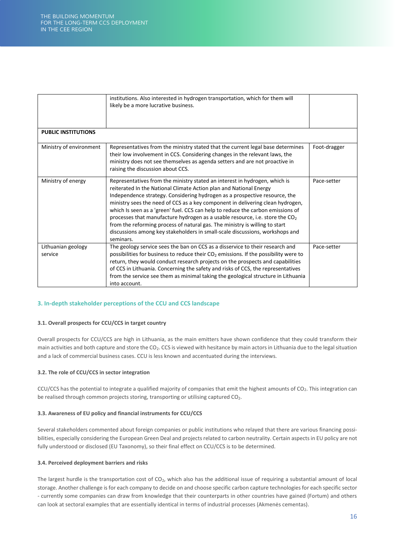| <b>PUBLIC INSTITUTIONS</b>    | institutions. Also interested in hydrogen transportation, which for them will<br>likely be a more lucrative business.                                                                                                                                                                                                                                                                                                                                                                                                                                                                                                                                             |              |
|-------------------------------|-------------------------------------------------------------------------------------------------------------------------------------------------------------------------------------------------------------------------------------------------------------------------------------------------------------------------------------------------------------------------------------------------------------------------------------------------------------------------------------------------------------------------------------------------------------------------------------------------------------------------------------------------------------------|--------------|
|                               |                                                                                                                                                                                                                                                                                                                                                                                                                                                                                                                                                                                                                                                                   |              |
| Ministry of environment       | Representatives from the ministry stated that the current legal base determines<br>their low involvement in CCS. Considering changes in the relevant laws, the<br>ministry does not see themselves as agenda setters and are not proactive in<br>raising the discussion about CCS.                                                                                                                                                                                                                                                                                                                                                                                | Foot-dragger |
| Ministry of energy            | Representatives from the ministry stated an interest in hydrogen, which is<br>reiterated In the National Climate Action plan and National Energy<br>Independence strategy. Considering hydrogen as a prospective resource, the<br>ministry sees the need of CCS as a key component in delivering clean hydrogen,<br>which Is seen as a 'green' fuel. CCS can help to reduce the carbon emissions of<br>processes that manufacture hydrogen as a usable resource, i.e. store the $CO2$<br>from the reforming process of natural gas. The ministry is willing to start<br>discussions among key stakeholders in small-scale discussions, workshops and<br>seminars. | Pace-setter  |
| Lithuanian geology<br>service | The geology service sees the ban on CCS as a disservice to their research and<br>possibilities for business to reduce their $CO2$ emissions. If the possibility were to<br>return, they would conduct research projects on the prospects and capabilities<br>of CCS in Lithuania. Concerning the safety and risks of CCS, the representatives<br>from the service see them as minimal taking the geological structure in Lithuania<br>into account.                                                                                                                                                                                                               | Pace-setter  |

### <span id="page-16-0"></span>**3. In-depth stakeholder perceptions of the CCU and CCS landscape**

### **3.1. Overall prospects for CCU/CCS in target country**

Overall prospects for CCU/CCS are high in Lithuania, as the main emitters have shown confidence that they could transform their main activities and both capture and store the CO<sub>2</sub>. CCS is viewed with hesitance by main actors in Lithuania due to the legal situation and a lack of commercial business cases. CCU is less known and accentuated during the interviews.

### **3.2. The role of CCU/CCS in sector integration**

CCU/CCS has the potential to integrate a qualified majority of companies that emit the highest amounts of CO2. This integration can be realised through common projects storing, transporting or utilising captured CO<sub>2</sub>.

### **3.3. Awareness of EU policy and financial instruments for CCU/CCS**

Several stakeholders commented about foreign companies or public institutions who relayed that there are various financing possibilities, especially considering the European Green Deal and projects related to carbon neutrality. Certain aspects in EU policy are not fully understood or disclosed (EU Taxonomy), so their final effect on CCU/CCS is to be determined.

### **3.4. Perceived deployment barriers and risks**

The largest hurdle is the transportation cost of  $CO<sub>2</sub>$ , which also has the additional issue of requiring a substantial amount of local storage. Another challenge is for each company to decide on and choose specific carbon capture technologies for each specific sector - currently some companies can draw from knowledge that their counterparts in other countries have gained (Fortum) and others can look at sectoral examples that are essentially identical in terms of industrial processes (Akmenės cementas).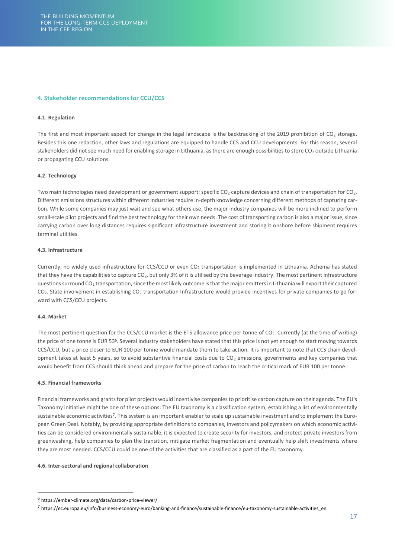### <span id="page-17-0"></span>**4. Stakeholder recommendations for CCU/CCS**

### **4.1. Regulation**

The first and most important aspect for change in the legal landscape is the backtracking of the 2019 prohibition of  $CO<sub>2</sub>$  storage. Besides this one redaction, other laws and regulations are equipped to handle CCS and CCU developments. For this reason, several stakeholders did not see much need for enabling storage in Lithuania, as there are enough possibilities to store CO<sub>2</sub> outside Lithuania or propagating CCU solutions.

### **4.2. Technology**

Two main technologies need development or government support: specific CO<sub>2</sub> capture devices and chain of transportation for CO<sub>2</sub>. Different emissions structures within different industries require in-depth knowledge concerning different methods of capturing carbon. While some companies may just wait and see what others use, the major industry companies will be more inclined to perform small-scale pilot projects and find the best technology for their own needs. The cost of transporting carbon is also a major issue, since carrying carbon over long distances requires significant infrastructure investment and storing it onshore before shipment requires terminal utilities.

### **4.3. Infrastructure**

Currently, no widely used infrastructure for CCS/CCU or even CO<sub>2</sub> transportation is implemented in Lithuania. Achema has stated that they have the capabilities to capture CO<sub>2</sub>, but only 3% of it is utilised by the beverage industry. The most pertinent infrastructure questions surround CO<sub>2</sub> transportation, since the most likely outcome is that the major emitters in Lithuania will export their captured CO<sub>2</sub>. State involvement in establishing CO<sub>2</sub> transportation Infrastructure would provide incentives for private companies to go forward with CCS/CCU projects.

### **4.4. Market**

The most pertinent question for the CCS/CCU market is the ETS allowance price per tonne of CO<sub>2</sub>. Currently (at the time of writing) the price of one tonne is EUR 53<sup>6</sup>. Several industry stakeholders have stated that this price is not yet enough to start moving towards CCS/CCU, but a price closer to EUR 100 per tonne would mandate them to take action. It is important to note that CCS chain development takes at least 5 years, so to avoid substantive financial costs due to  $CO<sub>2</sub>$  emissions, governments and key companies that would benefit from CCS should think ahead and prepare for the price of carbon to reach the critical mark of EUR 100 per tonne.

### **4.5. Financial frameworks**

Financial frameworks and grants for pilot projects would incentivise companies to prioritise carbon capture on their agenda. The EU's Taxonomy initiative might be one of these options: The EU taxonomy is a classification system, establishing a list of environmentally sustainable economic activities<sup>7</sup>. This system is an important enabler to scale up sustainable investment and to implement the European Green Deal. Notably, by providing appropriate definitions to companies, investors and policymakers on which economic activities can be considered environmentally sustainable, it is expected to create security for investors, and protect private investors from greenwashing, help companies to plan the transition, mitigate market fragmentation and eventually help shift investments where they are most needed. CCS/CCU could be one of the activities that are classified as a part of the EU taxonomy.

### **4.6. Inter-sectoral and regional collaboration**

<sup>&</sup>lt;sup>6</sup> https://ember-climate.org/data/carbon-price-viewer/

<sup>7</sup> https://ec.europa.eu/info/business-economy-euro/banking-and-finance/sustainable-finance/eu-taxonomy-sustainable-activities\_en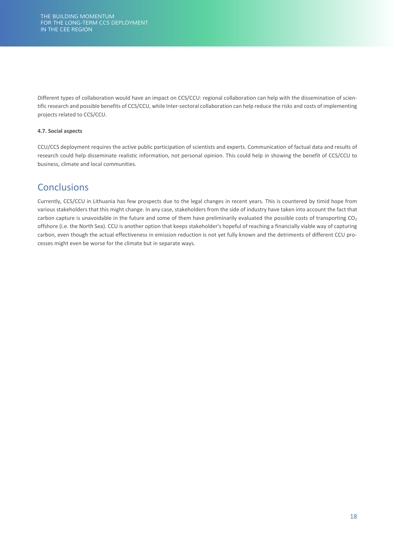Different types of collaboration would have an impact on CCS/CCU: regional collaboration can help with the dissemination of scientific research and possible benefits of CCS/CCU, while Inter-sectoral collaboration can help reduce the risks and costs of implementing projects related to CCS/CCU.

### **4.7. Social aspects**

CCU/CCS deployment requires the active public participation of scientists and experts. Communication of factual data and results of research could help disseminate realistic information, not personal opinion. This could help in showing the benefit of CCS/CCU to business, climate and local communities.

### **Conclusions**

Currently, CCS/CCU in Lithuania has few prospects due to the legal changes in recent years. This is countered by timid hope from various stakeholders that this might change. In any case, stakeholders from the side of industry have taken into account the fact that carbon capture is unavoidable in the future and some of them have preliminarily evaluated the possible costs of transporting  $CO<sub>2</sub>$ offshore (i.e. the North Sea). CCU is another option that keeps stakeholder's hopeful of reaching a financially viable way of capturing carbon, even though the actual effectiveness in emission reduction is not yet fully known and the detriments of different CCU processes might even be worse for the climate but in separate ways.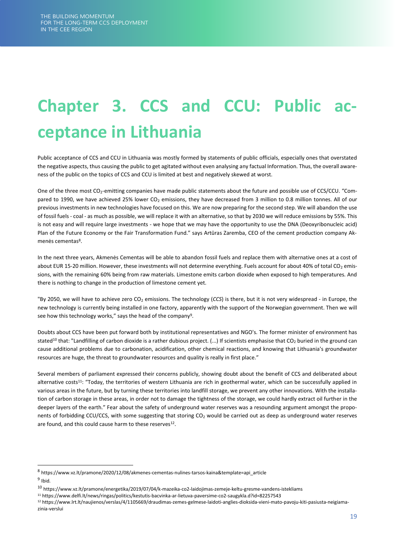## <span id="page-19-0"></span>**Chapter 3. CCS and CCU: Public acceptance in Lithuania**

Public acceptance of CCS and CCU in Lithuania was mostly formed by statements of public officials, especially ones that overstated the negative aspects, thus causing the public to get agitated without even analysing any factual Information. Thus, the overall awareness of the public on the topics of CCS and CCU is limited at best and negatively skewed at worst.

One of the three most CO<sub>2</sub>-emitting companies have made public statements about the future and possible use of CCS/CCU. "Compared to 1990, we have achieved 25% lower CO<sub>2</sub> emissions, they have decreased from 3 million to 0.8 million tonnes. All of our previous investments in new technologies have focused on this. We are now preparing for the second step. We will abandon the use of fossil fuels - coal - as much as possible, we will replace it with an alternative, so that by 2030 we will reduce emissions by 55%. This is not easy and will require large investments - we hope that we may have the opportunity to use the DNA (Deoxyribonucleic acid) Plan of the Future Economy or the Fair Transformation Fund." says Artūras Zaremba, CEO of the cement production company Akmenės cementas<sup>8</sup>.

In the next three years, Akmenės Cementas will be able to abandon fossil fuels and replace them with alternative ones at a cost of about EUR 15-20 million. However, these investments will not determine everything. Fuels account for about 40% of total CO<sub>2</sub> emissions, with the remaining 60% being from raw materials. Limestone emits carbon dioxide when exposed to high temperatures. And there is nothing to change in the production of limestone cement yet.

"By 2050, we will have to achieve zero CO<sub>2</sub> emissions. The technology (CCS) is there, but it is not very widespread - in Europe, the new technology is currently being installed in one factory, apparently with the support of the Norwegian government. Then we will see how this technology works," says the head of the company<sup>9</sup>.

Doubts about CCS have been put forward both by institutional representatives and NGO's. The former minister of environment has stated<sup>10</sup> that: "Landfilling of carbon dioxide is a rather dubious project. (...) If scientists emphasise that  $CO<sub>2</sub>$  buried in the ground can cause additional problems due to carbonation, acidification, other chemical reactions, and knowing that Lithuania's groundwater resources are huge, the threat to groundwater resources and quality is really in first place."

Several members of parliament expressed their concerns publicly, showing doubt about the benefit of CCS and deliberated about alternative costs<sup>11</sup>: "Today, the territories of western Lithuania are rich in geothermal water, which can be successfully applied in various areas in the future, but by turning these territories into landfill storage, we prevent any other innovations. With the installation of carbon storage in these areas, in order not to damage the tightness of the storage, we could hardly extract oil further in the deeper layers of the earth." Fear about the safety of underground water reserves was a resounding argument amongst the proponents of forbidding CCU/CCS, with some suggesting that storing  $CO<sub>2</sub>$  would be carried out as deep as underground water reserves are found, and this could cause harm to these reserves<sup>12</sup>.

<sup>8</sup> https://www.vz.lt/pramone/2020/12/08/akmenes-cementas-nulines-tarsos-kaina&template=api\_article <sup>9</sup> Ibid.

<sup>10</sup> https://www.vz.lt/pramone/energetika/2019/07/04/k-mazeika-co2-laidojimas-zemeje-keltu-gresme-vandens-istekliams

<sup>11</sup> https://www.delfi.lt/news/ringas/politics/kestutis-bacvinka-ar-lietuva-paversime-co2-saugykla.d?id=82257543

<sup>12</sup> https://www.lrt.lt/naujienos/verslas/4/1105669/draudimas-zemes-gelmese-laidoti-anglies-dioksida-vieni-mato-pavoju-kiti-pasiusta-neigiamazinia-verslui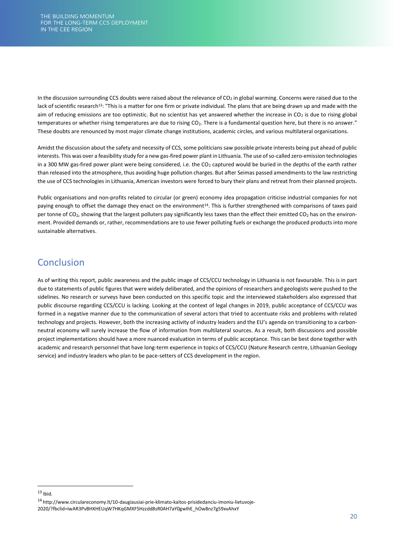In the discussion surrounding CCS doubts were raised about the relevance of  $CO<sub>2</sub>$  in global warming. Concerns were raised due to the lack of scientific research<sup>13</sup>: "This is a matter for one firm or private individual. The plans that are being drawn up and made with the aim of reducing emissions are too optimistic. But no scientist has yet answered whether the increase in  $CO<sub>2</sub>$  is due to rising global temperatures or whether rising temperatures are due to rising  $CO<sub>2</sub>$ . There is a fundamental question here, but there is no answer." These doubts are renounced by most major climate change institutions, academic circles, and various multilateral organisations.

Amidst the discussion about the safety and necessity of CCS, some politicians saw possible private interests being put ahead of public interests. This was over a feasibility study for a new gas-fired power plant in Lithuania. The use of so-called zero-emission technologies in a 300 MW gas-fired power plant were being considered, i.e. the  $CO<sub>2</sub>$  captured would be buried in the depths of the earth rather than released into the atmosphere, thus avoiding huge pollution charges. But after Seimas passed amendments to the law restricting the use of CCS technologies in Lithuania, American investors were forced to bury their plans and retreat from their planned projects.

Public organisations and non-profits related to circular (or green) economy idea propagation criticise industrial companies for not paying enough to offset the damage they enact on the environment<sup>14</sup>. This is further strengthened with comparisons of taxes paid per tonne of CO<sub>2</sub>, showing that the largest polluters pay significantly less taxes than the effect their emitted CO<sub>2</sub> has on the environment. Provided demands or, rather, recommendations are to use fewer polluting fuels or exchange the produced products into more sustainable alternatives.

### **Conclusion**

As of writing this report, public awareness and the public image of CCS/CCU technology in Lithuania is not favourable. This is in part due to statements of public figures that were widely deliberated, and the opinions of researchers and geologists were pushed to the sidelines. No research or surveys have been conducted on this specific topic and the interviewed stakeholders also expressed that public discourse regarding CCS/CCU is lacking. Looking at the context of legal changes in 2019, public acceptance of CCS/CCU was formed in a negative manner due to the communication of several actors that tried to accentuate risks and problems with related technology and projects. However, both the increasing activity of industry leaders and the EU's agenda on transitioning to a carbonneutral economy will surely increase the flow of information from multilateral sources. As a result, both discussions and possible project implementations should have a more nuanced evaluation in terms of public acceptance. This can be best done together with academic and research personnel that have long-term experience in topics of CCS/CCU (Nature Research centre, Lithuanian Geology service) and industry leaders who plan to be pace-setters of CCS development in the region.

 $13$  Ibid.

<sup>14</sup> http://www.circulareconomy.lt/10-daugiausiai-prie-klimato-kaitos-prisidedanciu-imoniu-lietuvoje-

<sup>2020/?</sup>fbclid=IwAR3PvBHXHEUqW7HKqGMXF5Hzzdd8sR0AH7aY0gwIhE\_hOw8nz7g59xvAhxY